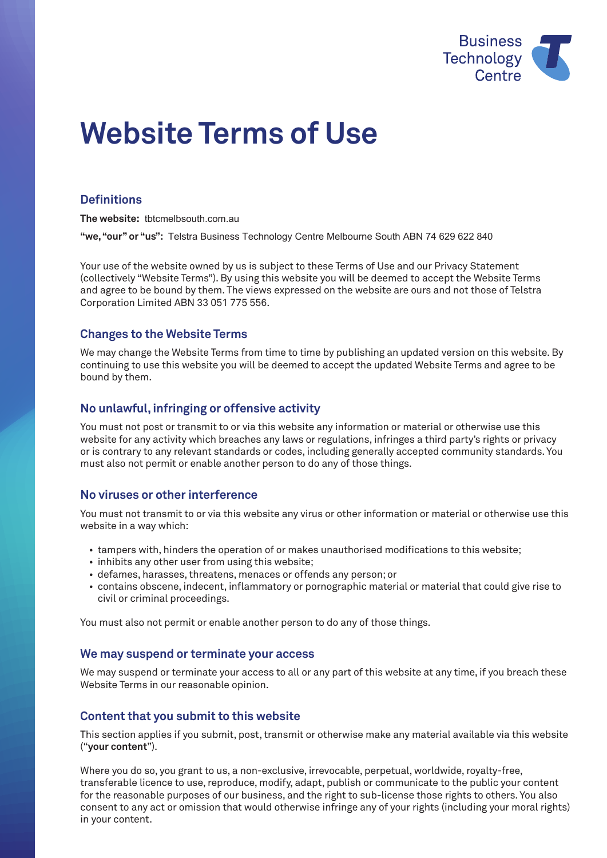

# **Website Terms of Use**

# **Definitions**

**The website:** tbtcmelbsouth.com.au

**"we, "our" or "us":**  Telstra Business Technology Centre Melbourne South ABN 74 629 622 840

Your use of the website owned by us is subject to these Terms of Use and our Privacy Statement (collectively "Website Terms"). By using this website you will be deemed to accept the Website Terms and agree to be bound by them. The views expressed on the website are ours and not those of Telstra Corporation Limited ABN 33 051 775 556.

# **Changes to the Website Terms**

We may change the Website Terms from time to time by publishing an updated version on this website. By continuing to use this website you will be deemed to accept the updated Website Terms and agree to be bound by them.

# **No unlawful, infringing or offensive activity**

You must not post or transmit to or via this website any information or material or otherwise use this website for any activity which breaches any laws or regulations, infringes a third party's rights or privacy or is contrary to any relevant standards or codes, including generally accepted community standards. You must also not permit or enable another person to do any of those things.

# **No viruses or other interference**

You must not transmit to or via this website any virus or other information or material or otherwise use this website in a way which:

- tampers with, hinders the operation of or makes unauthorised modifications to this website;
- inhibits any other user from using this website;
- defames, harasses, threatens, menaces or offends any person; or
- contains obscene, indecent, inflammatory or pornographic material or material that could give rise to civil or criminal proceedings.

You must also not permit or enable another person to do any of those things.

# **We may suspend or terminate your access**

We may suspend or terminate your access to all or any part of this website at any time, if you breach these Website Terms in our reasonable opinion.

# **Content that you submit to this website**

This section applies if you submit, post, transmit or otherwise make any material available via this website ("**your content**").

Where you do so, you grant to us, a non-exclusive, irrevocable, perpetual, worldwide, royalty-free, transferable licence to use, reproduce, modify, adapt, publish or communicate to the public your content for the reasonable purposes of our business, and the right to sub-license those rights to others. You also consent to any act or omission that would otherwise infringe any of your rights (including your moral rights) in your content.